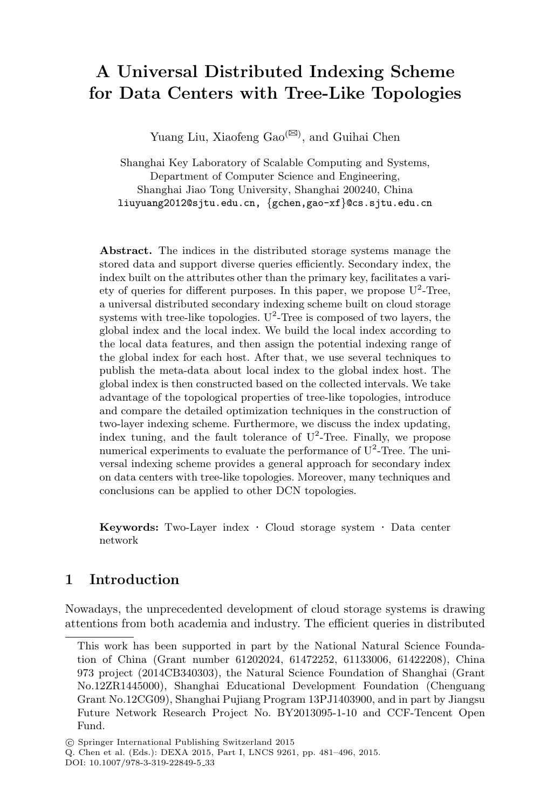# **A Universal Distributed Indexing Scheme for Data Centers with Tree-Like Topologies**

Yuang Liu, Xiaofeng Gao $^{(\boxtimes)}$ , and Guihai Chen

Shanghai Key Laboratory of Scalable Computing and Systems, Department of Computer Science and Engineering, Shanghai Jiao Tong University, Shanghai 200240, China liuyuang2012@sjtu.edu.cn, {gchen,gao-xf}@cs.sjtu.edu.cn

**Abstract.** The indices in the distributed storage systems manage the stored data and support diverse queries efficiently. Secondary index, the index built on the attributes other than the primary key, facilitates a variety of queries for different purposes. In this paper, we propose  $U^2$ -Tree, a universal distributed secondary indexing scheme built on cloud storage systems with tree-like topologies.  $U^2$ -Tree is composed of two layers, the global index and the local index. We build the local index according to the local data features, and then assign the potential indexing range of the global index for each host. After that, we use several techniques to publish the meta-data about local index to the global index host. The global index is then constructed based on the collected intervals. We take advantage of the topological properties of tree-like topologies, introduce and compare the detailed optimization techniques in the construction of two-layer indexing scheme. Furthermore, we discuss the index updating, index tuning, and the fault tolerance of  $U^2$ -Tree. Finally, we propose numerical experiments to evaluate the performance of  $U^2$ -Tree. The universal indexing scheme provides a general approach for secondary index on data centers with tree-like topologies. Moreover, many techniques and conclusions can be applied to other DCN topologies.

**Keywords:** Two-Layer index · Cloud storage system · Data center network

# **1 Introduction**

Nowadays, the unprecedented development of cloud storage systems is drawing attentions from both academia and industry. The efficient queries in distributed

This work has been supported in part by the National Natural Science Foundation of China (Grant number 61202024, 61472252, 61133006, 61422208), China 973 project (2014CB340303), the Natural Science Foundation of Shanghai (Grant No.12ZR1445000), Shanghai Educational Development Foundation (Chenguang Grant No.12CG09), Shanghai Pujiang Program 13PJ1403900, and in part by Jiangsu Future Network Research Project No. BY2013095-1-10 and CCF-Tencent Open Fund.

<sup>-</sup>c Springer International Publishing Switzerland 2015

Q. Chen et al. (Eds.): DEXA 2015, Part I, LNCS 9261, pp. 481–496, 2015. DOI: 10.1007/978-3-319-22849-5 33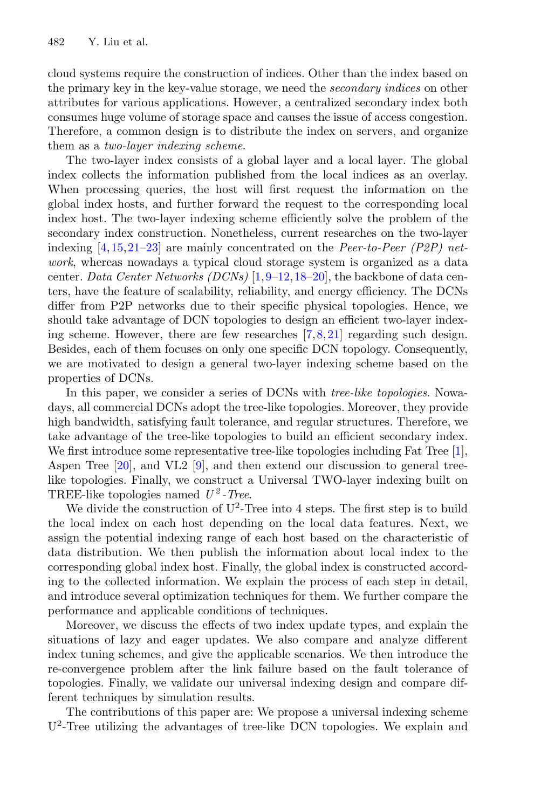cloud systems require the construction of indices. Other than the index based on the primary key in the key-value storage, we need the *secondary indices* on other attributes for various applications. However, a centralized secondary index both consumes huge volume of storage space and causes the issue of access congestion. Therefore, a common design is to distribute the index on servers, and organize them as a *two-layer indexing scheme*.

The two-layer index consists of a global layer and a local layer. The global index collects the information published from the local indices as an overlay. When processing queries, the host will first request the information on the global index hosts, and further forward the request to the corresponding local index host. The two-layer indexing scheme efficiently solve the problem of the secondary index construction. Nonetheless, current researches on the two-layer indexing [\[4,](#page-14-0)[15](#page-15-0)[,21](#page-15-1)[–23](#page-15-2)] are mainly concentrated on the *Peer-to-Peer (P2P) network*, whereas nowadays a typical cloud storage system is organized as a data center. *Data Center Networks (DCNs)* [\[1,](#page-14-1)[9](#page-15-3)[–12,](#page-15-4)[18](#page-15-5)[–20](#page-15-6)], the backbone of data centers, have the feature of scalability, reliability, and energy efficiency. The DCNs differ from P2P networks due to their specific physical topologies. Hence, we should take advantage of DCN topologies to design an efficient two-layer indexing scheme. However, there are few researches [\[7](#page-15-7),[8,](#page-15-8)[21\]](#page-15-1) regarding such design. Besides, each of them focuses on only one specific DCN topology. Consequently, we are motivated to design a general two-layer indexing scheme based on the properties of DCNs.

In this paper, we consider a series of DCNs with *tree-like topologies*. Nowadays, all commercial DCNs adopt the tree-like topologies. Moreover, they provide high bandwidth, satisfying fault tolerance, and regular structures. Therefore, we take advantage of the tree-like topologies to build an efficient secondary index. We first introduce some representative tree-like topologies including Fat Tree [\[1\]](#page-14-1), Aspen Tree [\[20](#page-15-6)], and VL2 [\[9](#page-15-3)], and then extend our discussion to general treelike topologies. Finally, we construct a Universal TWO-layer indexing built on TREE-like topologies named  $U^2$ -Tree.

We divide the construction of  $U^2$ -Tree into 4 steps. The first step is to build the local index on each host depending on the local data features. Next, we assign the potential indexing range of each host based on the characteristic of data distribution. We then publish the information about local index to the corresponding global index host. Finally, the global index is constructed according to the collected information. We explain the process of each step in detail, and introduce several optimization techniques for them. We further compare the performance and applicable conditions of techniques.

Moreover, we discuss the effects of two index update types, and explain the situations of lazy and eager updates. We also compare and analyze different index tuning schemes, and give the applicable scenarios. We then introduce the re-convergence problem after the link failure based on the fault tolerance of topologies. Finally, we validate our universal indexing design and compare different techniques by simulation results.

The contributions of this paper are: We propose a universal indexing scheme U<sup>2</sup>-Tree utilizing the advantages of tree-like DCN topologies. We explain and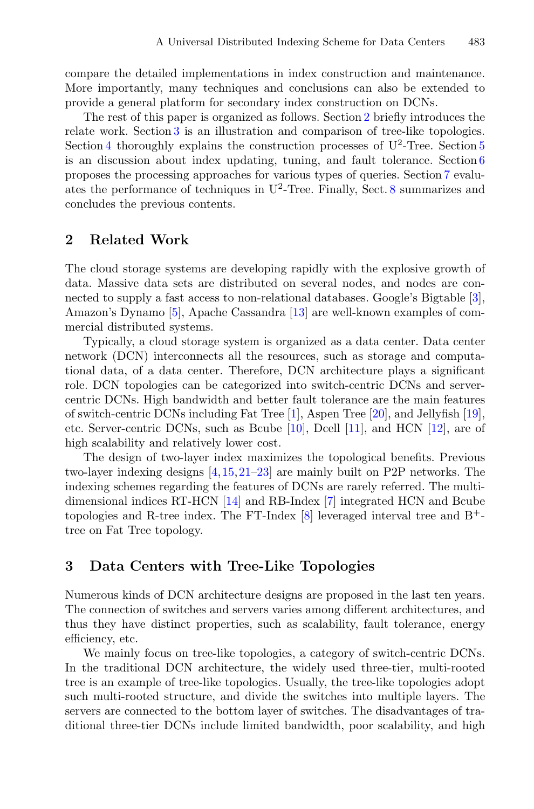compare the detailed implementations in index construction and maintenance. More importantly, many techniques and conclusions can also be extended to provide a general platform for secondary index construction on DCNs.

The rest of this paper is organized as follows. Section [2](#page-2-0) briefly introduces the relate work. Section [3](#page-2-1) is an illustration and comparison of tree-like topologies. Section [4](#page-6-0) thoroughly explains the construction processes of  $U^2$ -Tree. Section [5](#page-10-0) is an discussion about index updating, tuning, and fault tolerance. Section [6](#page-11-0) proposes the processing approaches for various types of queries. Section [7](#page-12-0) evaluates the performance of techniques in  $U^2$ -Tree. Finally, Sect. [8](#page-14-2) summarizes and concludes the previous contents.

#### <span id="page-2-0"></span>**2 Related Work**

The cloud storage systems are developing rapidly with the explosive growth of data. Massive data sets are distributed on several nodes, and nodes are connected to supply a fast access to non-relational databases. Google's Bigtable [\[3\]](#page-14-3), Amazon's Dynamo [\[5](#page-15-9)], Apache Cassandra [\[13\]](#page-15-10) are well-known examples of commercial distributed systems.

Typically, a cloud storage system is organized as a data center. Data center network (DCN) interconnects all the resources, such as storage and computational data, of a data center. Therefore, DCN architecture plays a significant role. DCN topologies can be categorized into switch-centric DCNs and servercentric DCNs. High bandwidth and better fault tolerance are the main features of switch-centric DCNs including Fat Tree [\[1](#page-14-1)], Aspen Tree [\[20\]](#page-15-6), and Jellyfish [\[19\]](#page-15-11), etc. Server-centric DCNs, such as Bcube [\[10\]](#page-15-12), Dcell [\[11\]](#page-15-13), and HCN [\[12\]](#page-15-4), are of high scalability and relatively lower cost.

The design of two-layer index maximizes the topological benefits. Previous two-layer indexing designs [\[4](#page-14-0),[15,](#page-15-0)[21](#page-15-1)[–23\]](#page-15-2) are mainly built on P2P networks. The indexing schemes regarding the features of DCNs are rarely referred. The multidimensional indices RT-HCN [\[14](#page-15-14)] and RB-Index [\[7](#page-15-7)] integrated HCN and Bcube topologies and R-tree index. The FT-Index  $[8]$  $[8]$  leveraged interval tree and B<sup>+</sup>tree on Fat Tree topology.

#### <span id="page-2-1"></span>**3 Data Centers with Tree-Like Topologies**

Numerous kinds of DCN architecture designs are proposed in the last ten years. The connection of switches and servers varies among different architectures, and thus they have distinct properties, such as scalability, fault tolerance, energy efficiency, etc.

We mainly focus on tree-like topologies, a category of switch-centric DCNs. In the traditional DCN architecture, the widely used three-tier, multi-rooted tree is an example of tree-like topologies. Usually, the tree-like topologies adopt such multi-rooted structure, and divide the switches into multiple layers. The servers are connected to the bottom layer of switches. The disadvantages of traditional three-tier DCNs include limited bandwidth, poor scalability, and high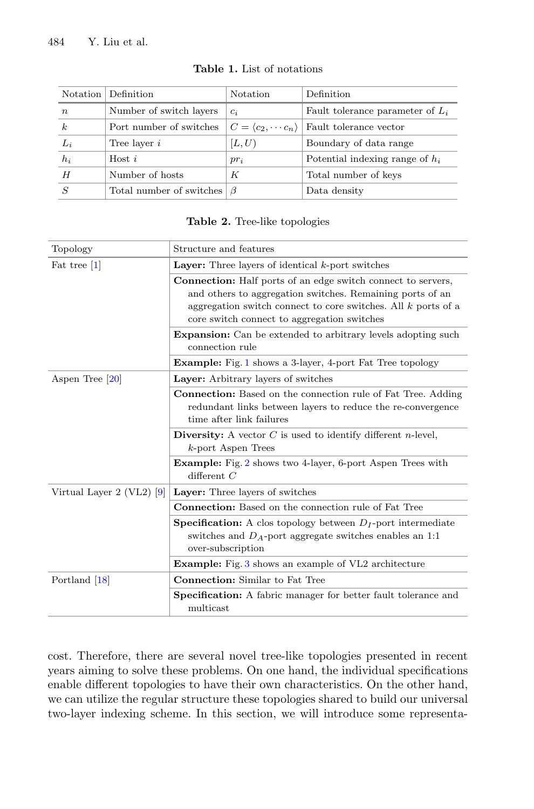| Notation         | Definition                       | <b>Notation</b>                       | Definition                         |
|------------------|----------------------------------|---------------------------------------|------------------------------------|
| $n_{\rm}$        | Number of switch layers          | $c_i$                                 | Fault tolerance parameter of $L_i$ |
| $\boldsymbol{k}$ | Port number of switches          | $C = \langle c_2, \cdots c_n \rangle$ | Fault tolerance vector             |
| $L_i$            | Tree layer $i$                   | [L, U)                                | Boundary of data range             |
| $h_i$            | Host $i$                         | $pr_i$                                | Potential indexing range of $h_i$  |
| Η                | Number of hosts                  | К                                     | Total number of keys               |
| S                | Total number of switches $\beta$ |                                       | Data density                       |

<span id="page-3-0"></span>**Table 1.** List of notations

#### <span id="page-3-1"></span>**Table 2.** Tree-like topologies

| Topology                    | Structure and features                                                                                                                                                                                                                             |  |  |  |
|-----------------------------|----------------------------------------------------------------------------------------------------------------------------------------------------------------------------------------------------------------------------------------------------|--|--|--|
| Fat tree $[1]$              | <b>Layer:</b> Three layers of identical $k$ -port switches                                                                                                                                                                                         |  |  |  |
|                             | <b>Connection:</b> Half ports of an edge switch connect to servers,<br>and others to aggregation switches. Remaining ports of an<br>aggregation switch connect to core switches. All $k$ ports of a<br>core switch connect to aggregation switches |  |  |  |
|                             | <b>Expansion:</b> Can be extended to arbitrary levels adopting such<br>connection rule                                                                                                                                                             |  |  |  |
|                             | <b>Example:</b> Fig. 1 shows a 3-layer, 4-port Fat Tree topology                                                                                                                                                                                   |  |  |  |
| Aspen Tree $[20]$           | Layer: Arbitrary layers of switches                                                                                                                                                                                                                |  |  |  |
|                             | <b>Connection:</b> Based on the connection rule of Fat Tree. Adding<br>redundant links between layers to reduce the re-convergence<br>time after link failures                                                                                     |  |  |  |
|                             | <b>Diversity:</b> A vector $C$ is used to identify different <i>n</i> -level,<br>$k$ -port Aspen Trees                                                                                                                                             |  |  |  |
|                             | <b>Example:</b> Fig. 2 shows two 4-layer, 6-port Aspen Trees with<br>different $C$                                                                                                                                                                 |  |  |  |
| Virtual Layer 2 (VL2) $[9]$ | Layer: Three layers of switches                                                                                                                                                                                                                    |  |  |  |
|                             | <b>Connection:</b> Based on the connection rule of Fat Tree                                                                                                                                                                                        |  |  |  |
|                             | <b>Specification:</b> A clos topology between $D_I$ -port intermediate<br>switches and $D_A$ -port aggregate switches enables an 1:1<br>over-subscription                                                                                          |  |  |  |
|                             | <b>Example:</b> Fig. 3 shows an example of VL2 architecture                                                                                                                                                                                        |  |  |  |
| Portland [18]               | <b>Connection:</b> Similar to Fat Tree                                                                                                                                                                                                             |  |  |  |
|                             | <b>Specification:</b> A fabric manager for better fault tolerance and<br>multicast                                                                                                                                                                 |  |  |  |

cost. Therefore, there are several novel tree-like topologies presented in recent years aiming to solve these problems. On one hand, the individual specifications enable different topologies to have their own characteristics. On the other hand, we can utilize the regular structure these topologies shared to build our universal two-layer indexing scheme. In this section, we will introduce some representa-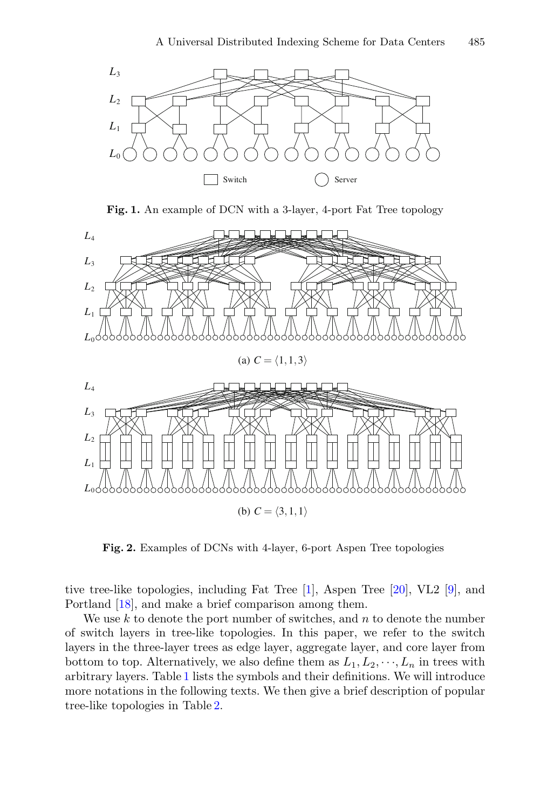

Fig. 1. An example of DCN with a 3-layer, 4-port Fat Tree topology

<span id="page-4-0"></span>

**Fig. 2.** Examples of DCNs with 4-layer, 6-port Aspen Tree topologies

<span id="page-4-1"></span>tive tree-like topologies, including Fat Tree [\[1\]](#page-14-1), Aspen Tree [\[20\]](#page-15-6), VL2 [\[9\]](#page-15-3), and Portland [\[18\]](#page-15-5), and make a brief comparison among them.

We use  $k$  to denote the port number of switches, and  $n$  to denote the number of switch layers in tree-like topologies. In this paper, we refer to the switch layers in the three-layer trees as edge layer, aggregate layer, and core layer from bottom to top. Alternatively, we also define them as  $L_1, L_2, \dots, L_n$  in trees with arbitrary layers. Table [1](#page-3-0) lists the symbols and their definitions. We will introduce more notations in the following texts. We then give a brief description of popular tree-like topologies in Table [2.](#page-3-1)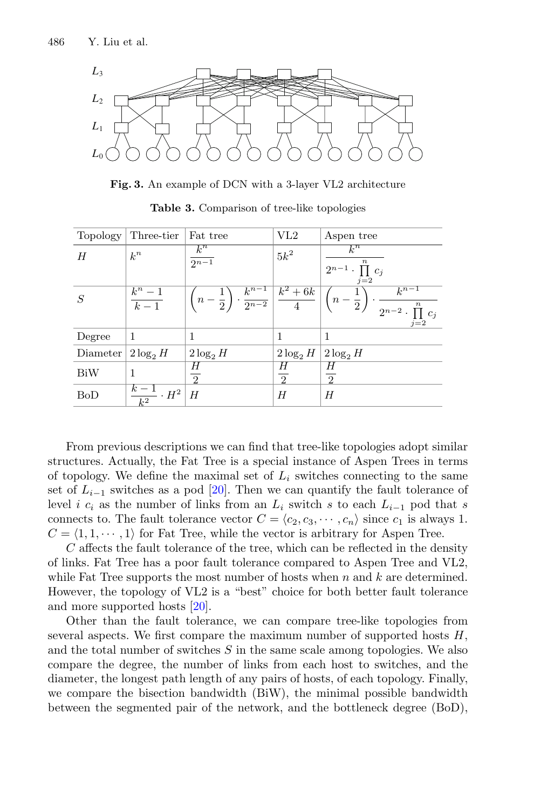

<span id="page-5-1"></span><span id="page-5-0"></span>**Fig. 3.** An example of DCN with a 3-layer VL2 architecture

| <b>Topology</b> | Three-tier                 | Fat tree              | VL2                 | Aspen tree                                                                                                                                                                                               |
|-----------------|----------------------------|-----------------------|---------------------|----------------------------------------------------------------------------------------------------------------------------------------------------------------------------------------------------------|
| H               | $k^n$                      | $\frac{k^n}{2^{n-1}}$ | $5k^2$              | $k^n$<br>$\boldsymbol{n}$<br>$2^{n-1} \cdot \prod_{i=1}^{n} c_i$                                                                                                                                         |
| S               | $\frac{k^n-1}{k-1}$        |                       |                     | $\overline{\left(n-\frac{1}{2}\right) \cdot \frac{k^{n-1}}{2^{n-2}}} \left  \frac{k^2 + 6k}{4} \right  \left(n-\frac{1}{2}\right) \cdot \frac{k^{n-1}}{2^{n-2} \cdot \prod\limits_{1}^{n} c_j}$<br>$i=2$ |
| Degree          | 1                          | $\mathbf{1}$          | 1                   | 1                                                                                                                                                                                                        |
| Diameter        | $2\log_2 H$                | $2\log_2 H$           | $2\log_2 H$         | $2\log_2 H$                                                                                                                                                                                              |
| BiW             | 1                          | H<br>$\overline{2}$   | Н<br>$\overline{2}$ | Н<br>$\overline{2}$                                                                                                                                                                                      |
| <b>BoD</b>      | $\frac{k-1}{k^2}\cdot H^2$ | H                     | H                   | H                                                                                                                                                                                                        |
|                 |                            |                       |                     |                                                                                                                                                                                                          |

**Table 3.** Comparison of tree-like topologies

From previous descriptions we can find that tree-like topologies adopt similar structures. Actually, the Fat Tree is a special instance of Aspen Trees in terms of topology. We define the maximal set of  $L<sub>i</sub>$  switches connecting to the same set of  $L_{i-1}$  switches as a pod [\[20](#page-15-6)]. Then we can quantify the fault tolerance of level *i*  $c_i$  as the number of links from an  $L_i$  switch s to each  $L_{i-1}$  pod that s connects to. The fault tolerance vector  $C = \langle c_2, c_3, \dots, c_n \rangle$  since  $c_1$  is always 1.<br>  $C = \langle 1, 1, \dots, 1 \rangle$  for Fat Tree, while the vector is arbitrary for Aspen Tree.  $C = \langle 1, 1, \dots, 1 \rangle$  for Fat Tree, while the vector is arbitrary for Aspen Tree.<br>C affects the fault tolerance of the tree, which can be reflected in the de

 $C$  affects the fault tolerance of the tree, which can be reflected in the density of links. Fat Tree has a poor fault tolerance compared to Aspen Tree and VL2, while Fat Tree supports the most number of hosts when  $n$  and  $k$  are determined. However, the topology of VL2 is a "best" choice for both better fault tolerance and more supported hosts [\[20\]](#page-15-6).

Other than the fault tolerance, we can compare tree-like topologies from several aspects. We first compare the maximum number of supported hosts  $H$ . and the total number of switches  $S$  in the same scale among topologies. We also compare the degree, the number of links from each host to switches, and the diameter, the longest path length of any pairs of hosts, of each topology. Finally, we compare the bisection bandwidth (BiW), the minimal possible bandwidth between the segmented pair of the network, and the bottleneck degree (BoD),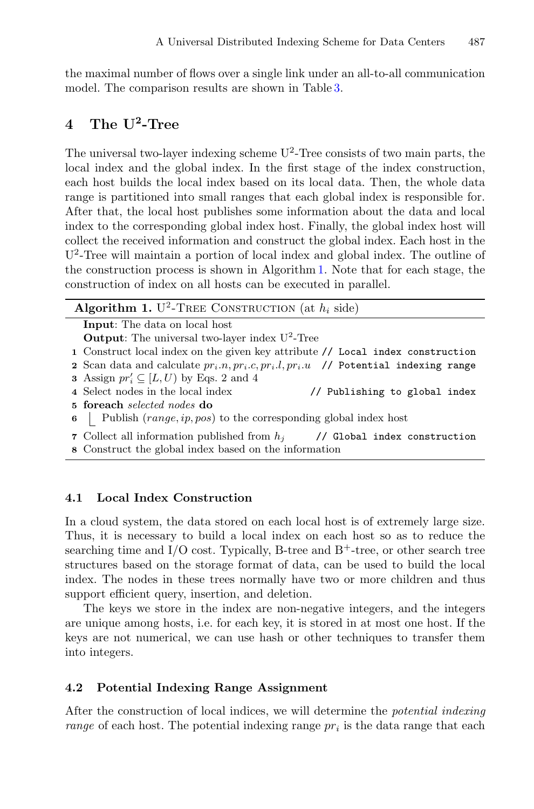the maximal number of flows over a single link under an all-to-all communication model. The comparison results are shown in Table [3.](#page-5-1)

# <span id="page-6-0"></span>**4 The U<sup>2</sup>-Tree**

The universal two-layer indexing scheme  $U^2$ -Tree consists of two main parts, the local index and the global index. In the first stage of the index construction, each host builds the local index based on its local data. Then, the whole data range is partitioned into small ranges that each global index is responsible for. After that, the local host publishes some information about the data and local index to the corresponding global index host. Finally, the global index host will collect the received information and construct the global index. Each host in the  $U^2$ -Tree will maintain a portion of local index and global index. The outline of the construction process is shown in Algorithm [1.](#page-6-1) Note that for each stage, the construction of index on all hosts can be executed in parallel.

<span id="page-6-1"></span>

| Algorithm 1. U <sup>2</sup> -TREE CONSTRUCTION (at $h_i$ side)                         |                               |  |  |  |  |
|----------------------------------------------------------------------------------------|-------------------------------|--|--|--|--|
| <b>Input:</b> The data on local host                                                   |                               |  |  |  |  |
| <b>Output:</b> The universal two-layer index $U^2$ -Tree                               |                               |  |  |  |  |
| 1 Construct local index on the given key attribute // Local index construction         |                               |  |  |  |  |
| 2 Scan data and calculate $pr_i.n, pr_i.c, pr_i.l, pr_i.u$ // Potential indexing range |                               |  |  |  |  |
| <b>3</b> Assign $pr'_i \subseteq [L, U]$ by Eqs. 2 and 4                               |                               |  |  |  |  |
| 4 Select nodes in the local index                                                      | // Publishing to global index |  |  |  |  |
| 5 foreach selected nodes do                                                            |                               |  |  |  |  |
| 6   Publish $(range, ip, pos)$ to the corresponding global index host                  |                               |  |  |  |  |
| 7 Collect all information published from $h_i$ // Global index construction            |                               |  |  |  |  |
| 8 Construct the global index based on the information                                  |                               |  |  |  |  |

#### **4.1 Local Index Construction**

In a cloud system, the data stored on each local host is of extremely large size. Thus, it is necessary to build a local index on each host so as to reduce the searching time and  $I/O$  cost. Typically, B-tree and  $B^+$ -tree, or other search tree structures based on the storage format of data, can be used to build the local index. The nodes in these trees normally have two or more children and thus support efficient query, insertion, and deletion.

The keys we store in the index are non-negative integers, and the integers are unique among hosts, i.e. for each key, it is stored in at most one host. If the keys are not numerical, we can use hash or other techniques to transfer them into integers.

#### **4.2 Potential Indexing Range Assignment**

After the construction of local indices, we will determine the *potential indexing range* of each host. The potential indexing range  $pr_i$  is the data range that each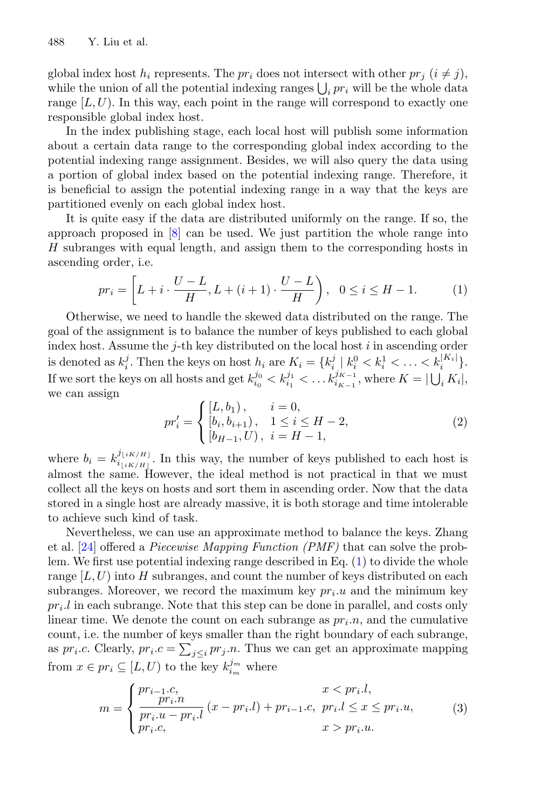global index host  $h_i$  represents. The  $pr_i$  does not intersect with other  $pr_j$   $(i \neq j)$ , while the union of all the potential indexing ranges  $\bigcup_i pr_i$  will be the whole data<br>range  $[L, U]$  In this way each point in the range will correspond to exactly one range  $[L, U]$ . In this way, each point in the range will correspond to exactly one responsible global index host.

In the index publishing stage, each local host will publish some information about a certain data range to the corresponding global index according to the potential indexing range assignment. Besides, we will also query the data using a portion of global index based on the potential indexing range. Therefore, it is beneficial to assign the potential indexing range in a way that the keys are partitioned evenly on each global index host.

It is quite easy if the data are distributed uniformly on the range. If so, the approach proposed in [\[8](#page-15-8)] can be used. We just partition the whole range into H subranges with equal length, and assign them to the corresponding hosts in ascending order, i.e.

$$
pr_i = \left[L + i \cdot \frac{U - L}{H}, L + (i + 1) \cdot \frac{U - L}{H}\right), \quad 0 \le i \le H - 1. \tag{1}
$$

<span id="page-7-0"></span>Otherwise, we need to handle the skewed data distributed on the range. The goal of the assignment is to balance the number of keys published to each global index host. Assume the  $j$ -th key distributed on the local host  $i$  in ascending order is denoted as  $k_i^j$ . Then the keys on host  $h_i$  are  $K_i = \{k_i^j \mid k_i^0 \le k_i^1 \le \ldots \le k_i^{|K_i|}\}$ .<br>If we sent the lieve an all heats and set  $k_i^j$   $\le k_i^j$   $\le k_i^j$  where  $K_i$   $\le k_i^j$ If we sort the keys on all hosts and get  $k_{i_0}^{j_0} < k_{i_1}^{j_1} < \dots k_{i_{K-1}}^{j_{K-1}}$ , where  $K = |\bigcup_i K_i|$ , we can assign we can assign

$$
pr'_{i} = \begin{cases} [L, b_{1}), & i = 0, \\ [b_{i}, b_{i+1}), & 1 \leq i \leq H - 2, \\ [b_{H-1}, U), & i = H - 1, \end{cases}
$$
 (2)

<span id="page-7-1"></span>where  $b_i = k_{i_{\lfloor iK/H \rfloor}}^{j_{\lfloor iK/H \rfloor}}$ . In this way, the number of keys published to each host is almost the same. However, the ideal method is not practical in that we must collect all the keys on hosts and sort them in ascending order. Now that the data stored in a single host are already massive, it is both storage and time intolerable to achieve such kind of task.

Nevertheless, we can use an approximate method to balance the keys. Zhang et al. [\[24\]](#page-15-15) offered a *Piecewise Mapping Function (PMF)* that can solve the problem. We first use potential indexing range described in Eq. [\(1\)](#page-7-0) to divide the whole range  $[L, U]$  into H subranges, and count the number of keys distributed on each subranges. Moreover, we record the maximum key  $pr_i.u$  and the minimum key pr*<sup>i</sup>*.l in each subrange. Note that this step can be done in parallel, and costs only linear time. We denote the count on each subrange as  $pr_i$ , and the cumulative count, i.e. the number of keys smaller than the right boundary of each subrange, as  $pr_i.c$ . Clearly,  $pr_i.c = \sum_{j \leq i} pr_j.n$ . Thus we can get an approximate mapping from  $x \in pr_i \subseteq [L, U)$  to the key  $k_{i_m}^{j_m}$  where

$$
m = \begin{cases} pr_{i-1}.c, & x < pr_i.l, \\ \frac{pr_i.n}{pr_i.u - pr_i.l} (x - pr_i.l) + pr_{i-1}.c, & pr_i.l \le x \le pr_i.u, \\ pr_i.c, & x > pr_i.u. \end{cases}
$$
(3)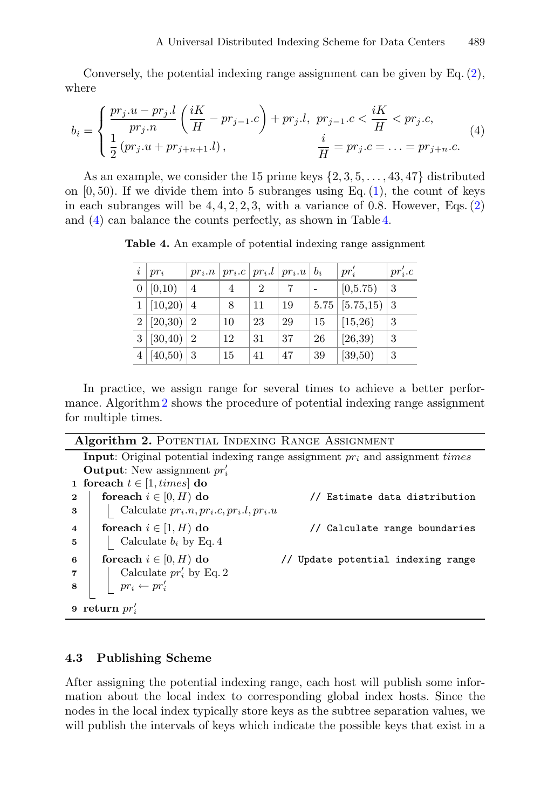Conversely, the potential indexing range assignment can be given by  $Eq. (2)$  $Eq. (2)$ , where

<span id="page-8-0"></span>
$$
b_i = \begin{cases} \frac{pr_j.u - pr_j.l}{pr_j.n} \left( \frac{iK}{H} - pr_{j-1}.c \right) + pr_j.l, \ pr_{j-1}.c < \frac{iK}{H} < pr_j.c, \\ \frac{1}{2} \left( pr_j.u + pr_{j+n+1}.l \right), & \frac{i}{H} = pr_j.c = \dots = pr_{j+n}.c. \end{cases}
$$
(4)

As an example, we consider the 15 prime keys  $\{2, 3, 5, \ldots, 43, 47\}$  distributed on  $[0, 50)$ . If we divide them into 5 subranges using Eq.  $(1)$ , the count of keys in each subranges will be  $4, 4, 2, 2, 3$ , with a variance of 0.8. However, Eqs. [\(2\)](#page-7-1) and [\(4\)](#page-8-0) can balance the counts perfectly, as shown in Table [4.](#page-8-1)

| i              | $pr_i$                   |                |    |                | $pr_i.n \,   \, pr_i.c \,   \, pr_i.l \,   \, pr_i.u \,   \, bi$ |    | $pr_i$                | $pr'_i.c$ |
|----------------|--------------------------|----------------|----|----------------|------------------------------------------------------------------|----|-----------------------|-----------|
|                | [0,10)                   | $\overline{4}$ |    | $\overline{2}$ |                                                                  |    | [0,5.75)              | 3         |
|                | $\left[10,20\right)$   4 |                | 8  | 11             | 19                                                               |    | $5.75 \mid [5.75,15)$ | 3         |
| $\overline{2}$ | $[20,30]$ 2              |                | 10 | 23             | 29                                                               | 15 | [15,26)               | 3         |
| 3              | $[30,40]$ 2              |                | 12 | 31             | 37                                                               | 26 | [26,39)               | 3         |
|                | $[40,50]$ 3              |                | 15 | 41             | 47                                                               | 39 | (39,50)               | 3         |

<span id="page-8-1"></span>**Table 4.** An example of potential indexing range assignment

In practice, we assign range for several times to achieve a better performance. Algorithm [2](#page-8-2) shows the procedure of potential indexing range assignment for multiple times.

Algorithm 2. POTENTIAL INDEXING RANGE ASSIGNMENT

<span id="page-8-2"></span>**Input**: Original potential indexing range assignment  $pr_i$  and assignment times **Output**: New assignment  $pr'_i$ <br>**foreach**  $t \in [1 \text{ times}]$  **do foreach**  $t \in [1, times]$  **do**<br>**2 foreach**  $i \in [0, H)$  **do foreach**  $i \in [0, H)$  **do** // Estimate data distribution<br>**2 for a** // Calculate *m: n m: c m: l m: u*  Calculate  $pr_i.n, pr_i.c, pr_i.l, pr_i.u$ <br>**4** for each  $i \in [1, H]$  do **foreach**  $i \in [1, H)$  **do** // Calculate range boundaries<br>**5 for Calculate**  $h_i$  by Eq. 4 Calculate  $b_i$  by Eq. 4<br>**6** for each  $i \in [0, H]$  do **foreach**  $i \in [0, H)$  **do** // Update potential indexing range <br>**7 c c** Calculate  $pr'_i$  by Eq. 2 Calculate  $pr'_i$  by Eq. 2  $\left[\begin{array}{c} \mu_i \leftarrow pr'_i \end{array}\right]$  $\frac{9 \text{ return } pr'_i}{2}$ 

#### **4.3 Publishing Scheme**

After assigning the potential indexing range, each host will publish some information about the local index to corresponding global index hosts. Since the nodes in the local index typically store keys as the subtree separation values, we will publish the intervals of keys which indicate the possible keys that exist in a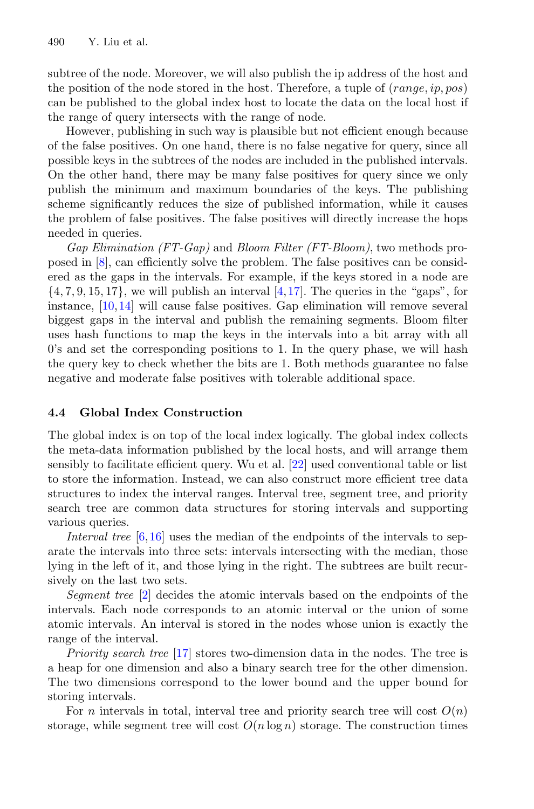subtree of the node. Moreover, we will also publish the ip address of the host and the position of the node stored in the host. Therefore, a tuple of  $(range, ip, pos)$ can be published to the global index host to locate the data on the local host if the range of query intersects with the range of node.

However, publishing in such way is plausible but not efficient enough because of the false positives. On one hand, there is no false negative for query, since all possible keys in the subtrees of the nodes are included in the published intervals. On the other hand, there may be many false positives for query since we only publish the minimum and maximum boundaries of the keys. The publishing scheme significantly reduces the size of published information, while it causes the problem of false positives. The false positives will directly increase the hops needed in queries.

*Gap Elimination (FT-Gap)* and *Bloom Filter (FT-Bloom)*, two methods proposed in [\[8](#page-15-8)], can efficiently solve the problem. The false positives can be considered as the gaps in the intervals. For example, if the keys stored in a node are  $\{4, 7, 9, 15, 17\}$ , we will publish an interval  $\{4, 17\}$ . The queries in the "gaps", for instance, [\[10](#page-15-12),[14\]](#page-15-14) will cause false positives. Gap elimination will remove several biggest gaps in the interval and publish the remaining segments. Bloom filter uses hash functions to map the keys in the intervals into a bit array with all 0's and set the corresponding positions to 1. In the query phase, we will hash the query key to check whether the bits are 1. Both methods guarantee no false negative and moderate false positives with tolerable additional space.

### **4.4 Global Index Construction**

The global index is on top of the local index logically. The global index collects the meta-data information published by the local hosts, and will arrange them sensibly to facilitate efficient query. Wu et al. [\[22](#page-15-17)] used conventional table or list to store the information. Instead, we can also construct more efficient tree data structures to index the interval ranges. Interval tree, segment tree, and priority search tree are common data structures for storing intervals and supporting various queries.

*Interval tree* [\[6](#page-15-18)[,16](#page-15-19)] uses the median of the endpoints of the intervals to separate the intervals into three sets: intervals intersecting with the median, those lying in the left of it, and those lying in the right. The subtrees are built recursively on the last two sets.

*Segment tree* [\[2\]](#page-14-4) decides the atomic intervals based on the endpoints of the intervals. Each node corresponds to an atomic interval or the union of some atomic intervals. An interval is stored in the nodes whose union is exactly the range of the interval.

*Priority search tree* [\[17](#page-15-16)] stores two-dimension data in the nodes. The tree is a heap for one dimension and also a binary search tree for the other dimension. The two dimensions correspond to the lower bound and the upper bound for storing intervals.

For n intervals in total, interval tree and priority search tree will cost  $O(n)$ storage, while segment tree will cost  $O(n \log n)$  storage. The construction times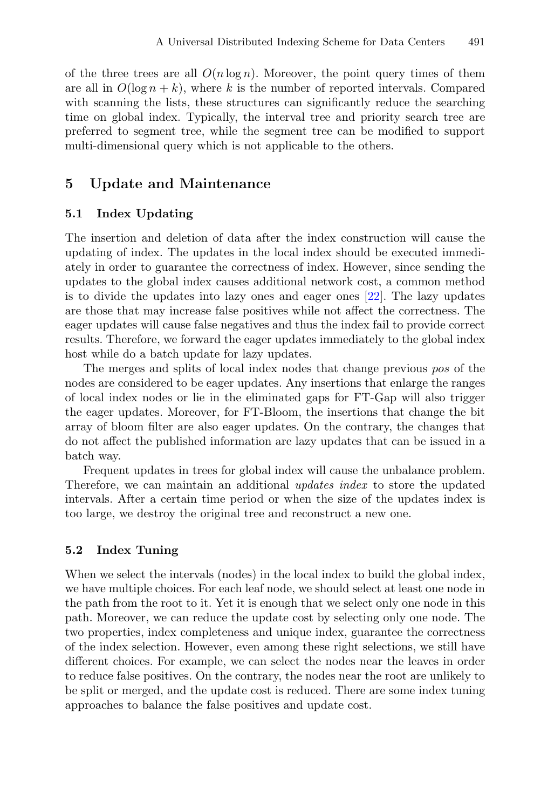of the three trees are all  $O(n \log n)$ . Moreover, the point query times of them are all in  $O(\log n + k)$ , where k is the number of reported intervals. Compared with scanning the lists, these structures can significantly reduce the searching time on global index. Typically, the interval tree and priority search tree are preferred to segment tree, while the segment tree can be modified to support multi-dimensional query which is not applicable to the others.

### <span id="page-10-0"></span>**5 Update and Maintenance**

#### **5.1 Index Updating**

The insertion and deletion of data after the index construction will cause the updating of index. The updates in the local index should be executed immediately in order to guarantee the correctness of index. However, since sending the updates to the global index causes additional network cost, a common method is to divide the updates into lazy ones and eager ones [\[22\]](#page-15-17). The lazy updates are those that may increase false positives while not affect the correctness. The eager updates will cause false negatives and thus the index fail to provide correct results. Therefore, we forward the eager updates immediately to the global index host while do a batch update for lazy updates.

The merges and splits of local index nodes that change previous pos of the nodes are considered to be eager updates. Any insertions that enlarge the ranges of local index nodes or lie in the eliminated gaps for FT-Gap will also trigger the eager updates. Moreover, for FT-Bloom, the insertions that change the bit array of bloom filter are also eager updates. On the contrary, the changes that do not affect the published information are lazy updates that can be issued in a batch way.

Frequent updates in trees for global index will cause the unbalance problem. Therefore, we can maintain an additional *updates index* to store the updated intervals. After a certain time period or when the size of the updates index is too large, we destroy the original tree and reconstruct a new one.

#### **5.2 Index Tuning**

When we select the intervals (nodes) in the local index to build the global index, we have multiple choices. For each leaf node, we should select at least one node in the path from the root to it. Yet it is enough that we select only one node in this path. Moreover, we can reduce the update cost by selecting only one node. The two properties, index completeness and unique index, guarantee the correctness of the index selection. However, even among these right selections, we still have different choices. For example, we can select the nodes near the leaves in order to reduce false positives. On the contrary, the nodes near the root are unlikely to be split or merged, and the update cost is reduced. There are some index tuning approaches to balance the false positives and update cost.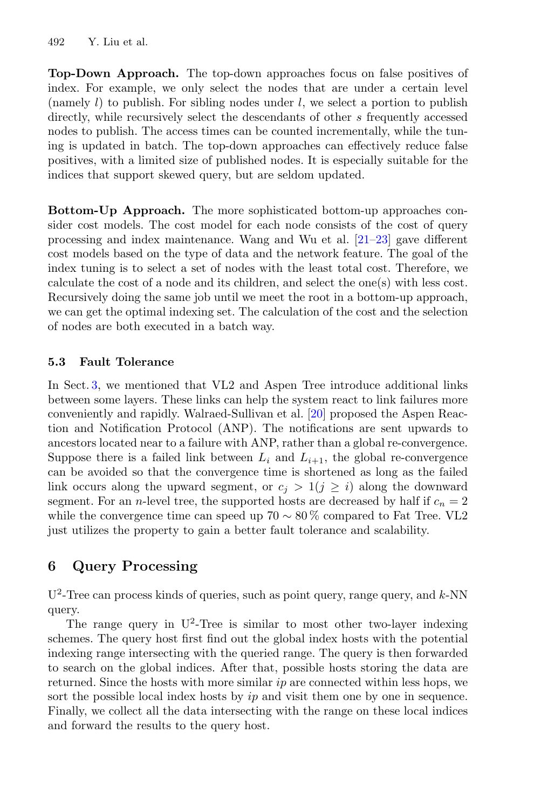**Top-Down Approach.** The top-down approaches focus on false positives of index. For example, we only select the nodes that are under a certain level (namely  $l$ ) to publish. For sibling nodes under  $l$ , we select a portion to publish directly, while recursively select the descendants of other s frequently accessed nodes to publish. The access times can be counted incrementally, while the tuning is updated in batch. The top-down approaches can effectively reduce false positives, with a limited size of published nodes. It is especially suitable for the indices that support skewed query, but are seldom updated.

**Bottom-Up Approach.** The more sophisticated bottom-up approaches consider cost models. The cost model for each node consists of the cost of query processing and index maintenance. Wang and Wu et al. [\[21](#page-15-1)[–23](#page-15-2)] gave different cost models based on the type of data and the network feature. The goal of the index tuning is to select a set of nodes with the least total cost. Therefore, we calculate the cost of a node and its children, and select the one(s) with less cost. Recursively doing the same job until we meet the root in a bottom-up approach, we can get the optimal indexing set. The calculation of the cost and the selection of nodes are both executed in a batch way.

### **5.3 Fault Tolerance**

In Sect. [3,](#page-2-1) we mentioned that VL2 and Aspen Tree introduce additional links between some layers. These links can help the system react to link failures more conveniently and rapidly. Walraed-Sullivan et al. [\[20\]](#page-15-6) proposed the Aspen Reaction and Notification Protocol (ANP). The notifications are sent upwards to ancestors located near to a failure with ANP, rather than a global re-convergence. Suppose there is a failed link between  $L_i$  and  $L_{i+1}$ , the global re-convergence can be avoided so that the convergence time is shortened as long as the failed link occurs along the upward segment, or  $c_j > 1(j \geq i)$  along the downward segment. For an *n*-level tree, the supported hosts are decreased by half if  $c_n = 2$ while the convergence time can speed up 70  $\sim$  80% compared to Fat Tree. VL2 just utilizes the property to gain a better fault tolerance and scalability.

# <span id="page-11-0"></span>**6 Query Processing**

 $U^2$ -Tree can process kinds of queries, such as point query, range query, and k-NN query.

The range query in  $U^2$ -Tree is similar to most other two-layer indexing schemes. The query host first find out the global index hosts with the potential indexing range intersecting with the queried range. The query is then forwarded to search on the global indices. After that, possible hosts storing the data are returned. Since the hosts with more similar  $ip$  are connected within less hops, we sort the possible local index hosts by ip and visit them one by one in sequence. Finally, we collect all the data intersecting with the range on these local indices and forward the results to the query host.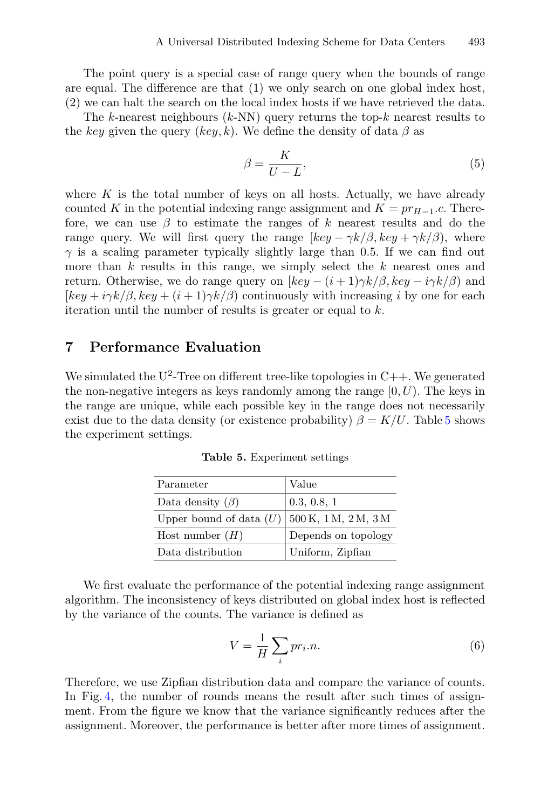The point query is a special case of range query when the bounds of range are equal. The difference are that (1) we only search on one global index host, (2) we can halt the search on the local index hosts if we have retrieved the data.

The k-nearest neighbours  $(k-NN)$  query returns the top-k nearest results to the key given the query (key, k). We define the density of data  $\beta$  as

$$
\beta = \frac{K}{U - L},\tag{5}
$$

where  $K$  is the total number of keys on all hosts. Actually, we have already counted K in the potential indexing range assignment and  $K = pr_{H-1}.c$ . Therefore, we can use  $\beta$  to estimate the ranges of k nearest results and do the range query. We will first query the range  $[key - \gamma k/\beta, key + \gamma k/\beta)$ , where  $\gamma$  is a scaling parameter typically slightly large than 0.5. If we can find out more than  $k$  results in this range, we simply select the  $k$  nearest ones and return. Otherwise, we do range query on  $[key - (i + 1)\gamma k/\beta, key - i\gamma k/\beta]$  and  $[key + i\gamma k/\beta, key + (i+1)\gamma k/\beta]$  continuously with increasing i by one for each iteration until the number of results is greater or equal to k.

### <span id="page-12-0"></span>**7 Performance Evaluation**

We simulated the  $U^2$ -Tree on different tree-like topologies in  $C_{++}$ . We generated the non-negative integers as keys randomly among the range  $[0, U)$ . The keys in the range are unique, while each possible key in the range does not necessarily exist due to the data density (or existence probability)  $\beta = K/U$ . Table [5](#page-12-1) shows the experiment settings.

|  |  | Table 5. Experiment settings |  |
|--|--|------------------------------|--|
|--|--|------------------------------|--|

<span id="page-12-1"></span>

| Parameter                 | Value                                                              |
|---------------------------|--------------------------------------------------------------------|
| Data density $(\beta)$    | 0.3, 0.8, 1                                                        |
| Upper bound of data $(U)$ | $500 \,\mathrm{K}, 1 \,\mathrm{M}, 2 \,\mathrm{M}, 3 \,\mathrm{M}$ |
| Host number $(H)$         | Depends on topology                                                |
| Data distribution         | Uniform, Zipfian                                                   |

We first evaluate the performance of the potential indexing range assignment algorithm. The inconsistency of keys distributed on global index host is reflected by the variance of the counts. The variance is defined as

$$
V = \frac{1}{H} \sum_{i} pr_i.n.
$$
\n(6)

Therefore, we use Zipfian distribution data and compare the variance of counts. In Fig. [4,](#page-13-0) the number of rounds means the result after such times of assignment. From the figure we know that the variance significantly reduces after the assignment. Moreover, the performance is better after more times of assignment.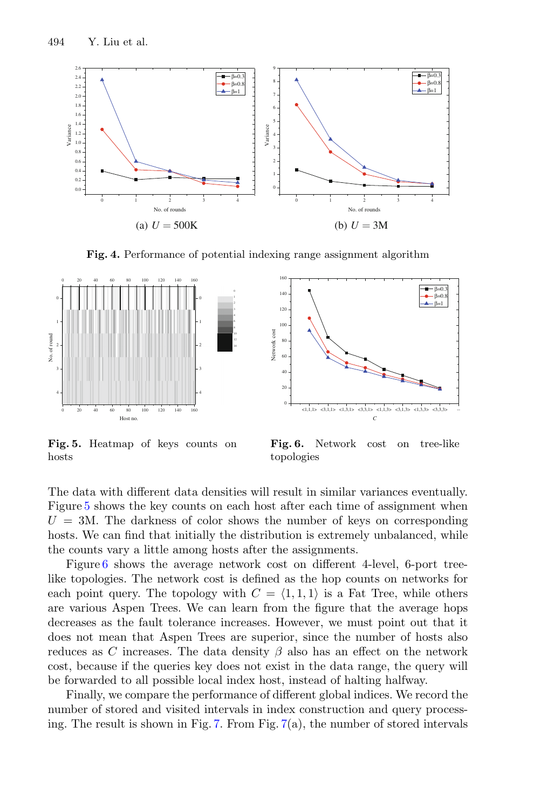

**Fig. 4.** Performance of potential indexing range assignment algorithm

<span id="page-13-0"></span>

<span id="page-13-1"></span>**Fig. 5.** Heatmap of keys counts on hosts

<span id="page-13-2"></span>**Fig. 6.** Network cost on tree-like topologies

The data with different data densities will result in similar variances eventually. Figure [5](#page-13-1) shows the key counts on each host after each time of assignment when  $U = 3M$ . The darkness of color shows the number of keys on corresponding hosts. We can find that initially the distribution is extremely unbalanced, while the counts vary a little among hosts after the assignments.

Figure [6](#page-13-2) shows the average network cost on different 4-level, 6-port treelike topologies. The network cost is defined as the hop counts on networks for each point query. The topology with  $C = \langle 1, 1, 1 \rangle$  is a Fat Tree, while others<br>are various Aspen Trees. We can learn from the figure that the average hops are various Aspen Trees. We can learn from the figure that the average hops decreases as the fault tolerance increases. However, we must point out that it does not mean that Aspen Trees are superior, since the number of hosts also reduces as C increases. The data density  $\beta$  also has an effect on the network cost, because if the queries key does not exist in the data range, the query will be forwarded to all possible local index host, instead of halting halfway.

Finally, we compare the performance of different global indices. We record the number of stored and visited intervals in index construction and query processing. The result is shown in Fig. [7.](#page-14-5) From Fig. [7\(](#page-14-5)a), the number of stored intervals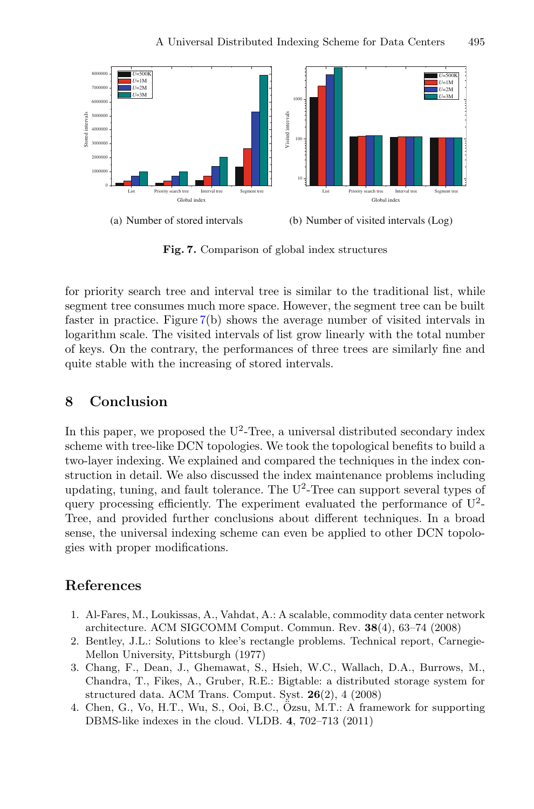

<span id="page-14-5"></span>**Fig. 7.** Comparison of global index structures

for priority search tree and interval tree is similar to the traditional list, while segment tree consumes much more space. However, the segment tree can be built faster in practice. Figure [7\(](#page-14-5)b) shows the average number of visited intervals in logarithm scale. The visited intervals of list grow linearly with the total number of keys. On the contrary, the performances of three trees are similarly fine and quite stable with the increasing of stored intervals.

### <span id="page-14-2"></span>**8 Conclusion**

In this paper, we proposed the  $U^2$ -Tree, a universal distributed secondary index scheme with tree-like DCN topologies. We took the topological benefits to build a two-layer indexing. We explained and compared the techniques in the index construction in detail. We also discussed the index maintenance problems including updating, tuning, and fault tolerance. The  $U^2$ -Tree can support several types of query processing efficiently. The experiment evaluated the performance of  $U^2$ -Tree, and provided further conclusions about different techniques. In a broad sense, the universal indexing scheme can even be applied to other DCN topologies with proper modifications.

## <span id="page-14-1"></span>**References**

- 1. Al-Fares, M., Loukissas, A., Vahdat, A.: A scalable, commodity data center network architecture. ACM SIGCOMM Comput. Commun. Rev. **38**(4), 63–74 (2008)
- <span id="page-14-4"></span>2. Bentley, J.L.: Solutions to klee's rectangle problems. Technical report, Carnegie-Mellon University, Pittsburgh (1977)
- <span id="page-14-3"></span>3. Chang, F., Dean, J., Ghemawat, S., Hsieh, W.C., Wallach, D.A., Burrows, M., Chandra, T., Fikes, A., Gruber, R.E.: Bigtable: a distributed storage system for structured data. ACM Trans. Comput. Syst. **26**(2), 4 (2008)
- <span id="page-14-0"></span>4. Chen, G., Vo, H.T., Wu, S., Ooi, B.C., Ozsu, M.T.: A framework for supporting ¨ DBMS-like indexes in the cloud. VLDB. **4**, 702–713 (2011)